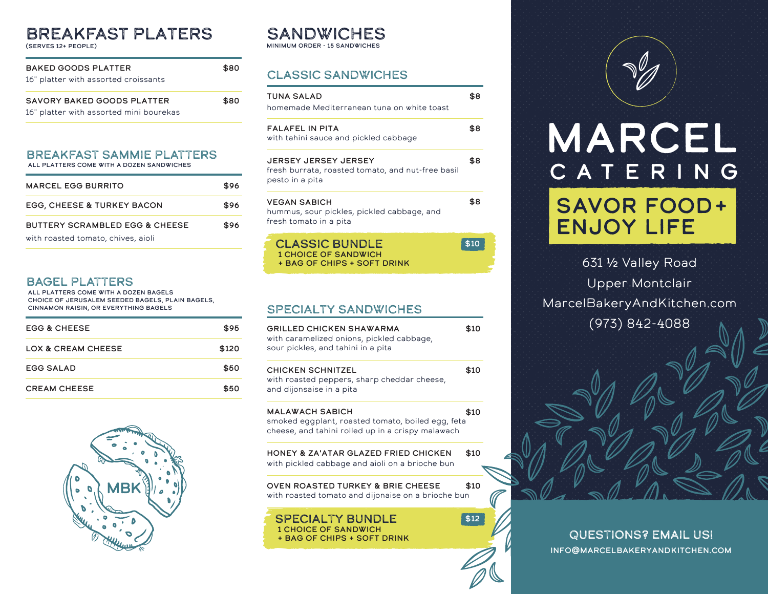# BREAKFAST Platers

(serves 12+ people)

| <b>BAKED GOODS PLATTER</b><br>16" platter with assorted croissants |      |
|--------------------------------------------------------------------|------|
| SAVORY BAKED GOODS PLATTER                                         | \$80 |

16" platter with assorted mini bourekas

BREAKFAST SAMMIE PLATTERS

all platters come with a dozen sandwiches

| <b>MARCEL EGG BURRITO</b>                 | \$96 |
|-------------------------------------------|------|
| <b>EGG, CHEESE &amp; TURKEY BACON</b>     | \$96 |
| <b>BUTTERY SCRAMBLED EGG &amp; CHEESE</b> | \$96 |
| with roasted tomato, chives, aioli        |      |

# BAGEL PLATTERS

all platters come with a dozen bagels choice of jerusalem seeded bagels, plain bagels, cinnamon raisin, or everything bagels

| <b>EGG &amp; CHEESE</b> | \$95  |
|-------------------------|-------|
| LOX & CREAM CHEESE      | \$120 |
| <b>EGG SALAD</b>        | \$50  |
| <b>CREAM CHEESE</b>     | \$50  |



#### **SANDWICHES** minimum order - 15 sandwiches

Classic Sandwiches

| <b>TUNA SALAD</b><br>homemade Mediterranean tuna on white toast                                     | \$8 |
|-----------------------------------------------------------------------------------------------------|-----|
| <b>FALAFEL IN PITA</b><br>with tahini sauce and pickled cabbage                                     | \$8 |
| <b>JERSEY JERSEY JERSEY</b><br>fresh burrata, roasted tomato, and nut-free basil<br>pesto in a pita | \$8 |
| <b>VEGAN SABICH</b><br>hummus, sour pickles, pickled cabbage, and<br>fresh tomato in a pita         | \$8 |
| <b>CLASSIC BUNDLE</b>                                                                               |     |

1 choice of sandwich + bag of chips + soft drink

## Specialty sandwiches

| GRILLED CHICKEN SHAWARMA<br>with caramelized onions, pickled cabbage,<br>sour pickles, and tahini in a pita                      | \$10 |
|----------------------------------------------------------------------------------------------------------------------------------|------|
| <b>CHICKEN SCHNITZEL</b><br>with roasted peppers, sharp cheddar cheese,<br>and dijonsaise in a pita                              | \$10 |
| <b>MALAWACH SABICH</b><br>smoked eggplant, roasted tomato, boiled egg, feta<br>cheese, and tahini rolled up in a crispy malawach | \$10 |
| HONEY & ZA'ATAR GLAZED FRIED CHICKEN<br>with pickled cabbage and aioli on a brioche bun                                          | \$10 |
| OVEN ROASTED TURKEY & BRIE CHEESE<br>with roasted tomato and dijonaise on a brioche bun                                          | \$10 |
| <b>SPECIALTY BUNDLE</b><br><b>1 CHOICE OF SANDWICH</b><br><b>+ BAG OF CHIPS + SOFT DRINK</b>                                     | \$12 |

# MARCEL CATERING

# **SAVOR FOOD+ ENJOY LIFE**

631 ½ Valley Road Upper Montclair MarcelBakeryAndKitchen.com (973) 842-4088

Questions? Email Us! info@marcelbakeryandkitchen.com